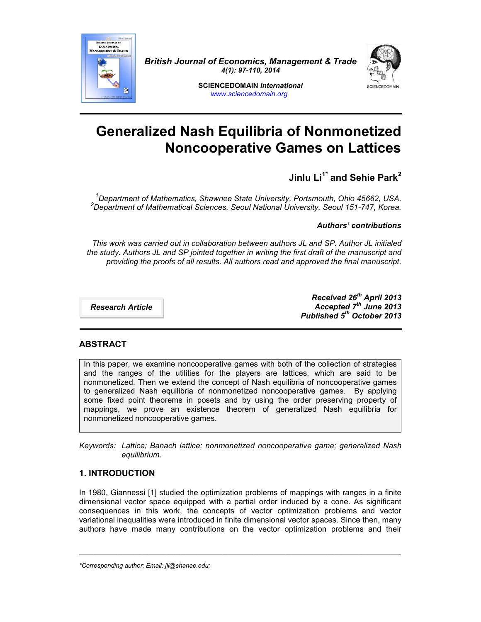

*British Journal of Economics, Management & Trade 4(1): 97-110, 2014*



**SCIENCEDOMAIN** *international www.sciencedomain.org*

# **Generalized Nash Equilibria of Nonmonetized Noncooperative Games on Lattices**

## **Jinlu Li1\* and Sehie Park<sup>2</sup>**

*<sup>1</sup>Department of Mathematics, Shawnee State University, Portsmouth, Ohio 45662, USA. <sup>2</sup>Department of Mathematical Sciences, Seoul National University, Seoul 151-747, Korea.*

*Authors' contributions*

*This work was carried out in collaboration between authors JL and SP. Author JL initialed the study. Authors JL and SP jointed together in writing the first draft of the manuscript and providing the proofs of all results. All authors read and approved the final manuscript.*

*Research Article*

*Received 26th April 2013 Accepted 7 th June 2013 Published 5 th October 2013*

## **ABSTRACT**

In this paper, we examine noncooperative games with both of the collection of strategies and the ranges of the utilities for the players are lattices, which are said to be nonmonetized. Then we extend the concept of Nash equilibria of noncooperative games to generalized Nash equilibria of nonmonetized noncooperative games. By applying some fixed point theorems in posets and by using the order preserving property of mappings, we prove an existence theorem of generalized Nash equilibria for nonmonetized noncooperative games.

*Keywords: Lattice; Banach lattice; nonmonetized noncooperative game; generalized Nash equilibrium.*

## **1. INTRODUCTION**

In 1980, Giannessi [1] studied the optimization problems of mappings with ranges in a finite dimensional vector space equipped with a partial order induced by a cone. As significant consequences in this work, the concepts of vector optimization problems and vector variational inequalities were introduced in finite dimensional vector spaces. Since then, many authors have made many contributions on the vector optimization problems and their

\_\_\_\_\_\_\_\_\_\_\_\_\_\_\_\_\_\_\_\_\_\_\_\_\_\_\_\_\_\_\_\_\_\_\_\_\_\_\_\_\_\_\_\_\_\_\_\_\_\_\_\_\_\_\_\_\_\_\_\_\_\_\_\_\_\_\_\_\_\_\_\_\_\_\_\_\_\_\_\_\_\_\_\_\_\_\_\_\_\_\_\_

*<sup>\*</sup>Corresponding author: Email: jli@shanee.edu;*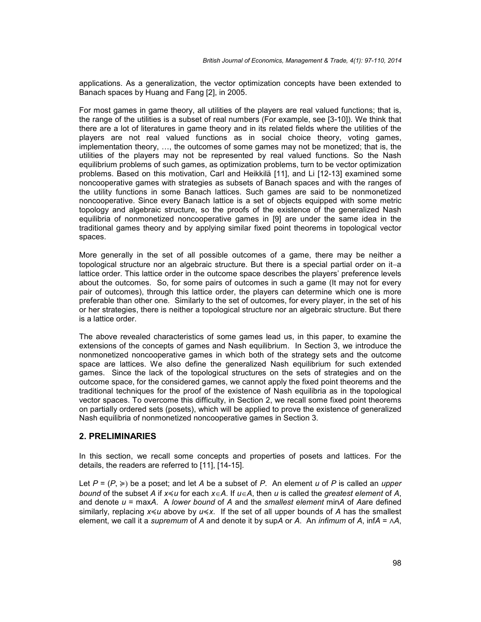applications. As a generalization, the vector optimization concepts have been extended to Banach spaces by Huang and Fang [2], in 2005.

For most games in game theory, all utilities of the players are real valued functions; that is, the range of the utilities is a subset of real numbers (For example, see [3-10]). We think that there are a lot of literatures in game theory and in its related fields where the utilities of the players are not real valued functions as in social choice theory, voting games, implementation theory, …, the outcomes of some games may not be monetized; that is, the utilities of the players may not be represented by real valued functions. So the Nash equilibrium problems of such games, as optimization problems, turn to be vector optimization problems. Based on this motivation, Carl and Heikkilä [11], and Li [12-13] examined some noncooperative games with strategies as subsets of Banach spaces and with the ranges of the utility functions in some Banach lattices. Such games are said to be nonmonetized noncooperative. Since every Banach lattice is a set of objects equipped with some metric topology and algebraic structure, so the proofs of the existence of the generalized Nash equilibria of nonmonetized noncooperative games in [9] are under the same idea in the traditional games theory and by applying similar fixed point theorems in topological vector spaces.

More generally in the set of all possible outcomes of a game, there may be neither a topological structure nor an algebraic structure. But there is a special partial order on it-a lattice order. This lattice order in the outcome space describes the players' preference levels about the outcomes. So, for some pairs of outcomes in such a game (It may not for every pair of outcomes), through this lattice order, the players can determine which one is more preferable than other one. Similarly to the set of outcomes, for every player, in the set of his or her strategies, there is neither a topological structure nor an algebraic structure. But there is a lattice order.

The above revealed characteristics of some games lead us, in this paper, to examine the extensions of the concepts of games and Nash equilibrium. In Section 3, we introduce the nonmonetized noncooperative games in which both of the strategy sets and the outcome space are lattices. We also define the generalized Nash equilibrium for such extended games. Since the lack of the topological structures on the sets of strategies and on the outcome space, for the considered games, we cannot apply the fixed point theorems and the traditional techniques for the proof of the existence of Nash equilibria as in the topological vector spaces. To overcome this difficulty, in Section 2, we recall some fixed point theorems on partially ordered sets (posets), which will be applied to prove the existence of generalized Nash equilibria of nonmonetized noncooperative games in Section 3.

## **2. PRELIMINARIES**

In this section, we recall some concepts and properties of posets and lattices. For the details, the readers are referred to [11], [14-15].

Let  $P = (P, \geq)$  be a poset; and let *A* be a subset of *P*. An element *u* of *P* is called an *upper* bound of the subset *A* if  $x \leq u$  for each  $x \in A$ . If  $u \in A$ , then *u* is called the *greatest element* of *A*, and denote  $u = maxA$ . A lower bound of A and the smallest element minA of Aare defined similarly, replacing *x*≼*u* above by *u*≼*x*. If the set of all upper bounds of *A* has the smallest element, we call it a *supremum* of *A* and denote it by sup*A* or *A*. An *infimum* of *A*, inf*A* = ∧*A*,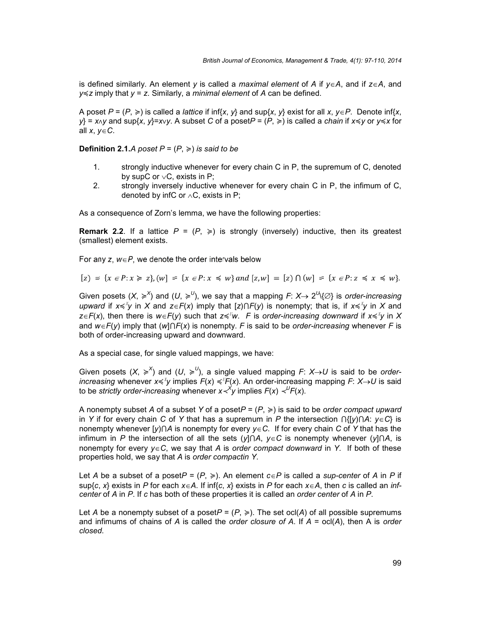is defined similarly. An element *y* is called a *maximal element* of *A* if  $y \in A$ , and if  $z \in A$ , and *y*≼*z* imply that *y* = *z*. Similarly, a *minimal element* of *A* can be defined.

A poset  $P = (P, \ge)$  is called a *lattice* if inf{*x*, *y*} and sup{*x*, *y*} exist for all *x*, *y*∈P. Denote inf{*x*, *y*} = *x*<sub>*N*</sub> y and sup{*x*, *y*}=*x*<sub>*y*</sub>. A subset *C* of a poset  $P = (P, \ge)$  is called a *chain* if all *x*, *yC*.

**Definition 2.1.***A* poset  $P = (P, \geq)$  *is said to be* 

- 1. strongly inductive whenever for every chain C in P, the supremum of C, denoted by supC or  $\vee$ C, exists in P;
- 2. strongly inversely inductive whenever for every chain C in P, the infimum of C, denoted by infC or  $\wedge$ C, exists in P;

As a consequence of Zorn's lemma, we have the following properties:

**Remark 2.2.** If a lattice  $P = (P, \geq)$  is strongly (inversely) inductive, then its greatest (smallest) element exists.

For any  $z, w \in P$ , we denote the order intervals below

$$
[z] = \{x \in P : x \geq z\}, (w] = \{x \in P : x \leq w\} \text{ and } [z, w] = [z] \cap (w] = \{x \in P : z \leq x \leq w\}.
$$

Given posets (X,  $\geq$ <sup>X</sup>) and (U,  $\geq$ <sup>U</sup>), we say that a mapping *F*: *X* $\rightarrow$  2<sup>U</sup>\{∅} is order-increasing *upward* if *x*≼ *X y* in *X* and *zF*(*x*) imply that [*z*)⋂*F*(*y*) is nonempty; that is, if *x*≼ *X y* in *X* and *zF*(*x*), then there is *wF*(*y*) such that *z*≼ *<sup>U</sup>w*. *F* is *order*-*increasing downward* if *x*≼ *X y* in *X* and  $w \in F(y)$  imply that  $(w \cap F(x))$  is nonempty. *F* is said to be *order-increasing* whenever *F* is both of order-increasing upward and downward.

As a special case, for single valued mappings, we have:

Given posets  $(X, \geq^X)$  and  $(U, \geq^U)$ , a single valued mapping *F*:  $X \rightarrow U$  is said to be order*increasing* whenever *x*≼<sup>∦</sup>y implies *F*(*x*) ≼<sup>*/'F*( $x$ ). An order-increasing mapping *F*: *X*→U is said</sup> to be *strictly order-increasing* whenever  $x$ <sup>*√*</sup> $y$  implies  $F(x)$  <sup>∠ $U$ </sup> $F(x)$ .

A nonempty subset *A* of a subset *Y* of a poset*P* = (*P*, ≽) is said to be *order compact upward* in *Y* if for every chain *C* of *Y* that has a supremum in *P* the intersection  $\bigcap \{y\} \cap A: y \in C\}$  is nonempty whenever [*y*)⋂*A* is nonempty for every *yC*. If for every chain *C* of *Y* that has the infimum in *P* the intersection of all the sets ( $y$ ] $\cap$ *A*,  $y \in C$  is nonempty whenever ( $y$ ] $\cap$ *A*, is nonempty for every *yC*, we say that *A* is *order compact downward* in *Y*. If both of these properties hold, we say that *A* is *order compactin Y*.

Let *A* be a subset of a poset*P* =  $(P, \ge)$ . An element  $c \in P$  is called a *sup-center* of *A* in *P* if sup{*c*, *x*} exists in *P* for each *x* = *A*. If inf{*c*, *x*} exists in *P* for each *x* = *A*, then *c* is calle center of A in P. If c has both of these properties it is called an order center of A in P.

Let *A* be a nonempty subset of a poset $P = (P, \geq)$ . The set ocl(*A*) of all possible supremums and infimums of chains of *A* is called the *order closure of A*. If *A* = ocl(*A*), then A is *order closed*.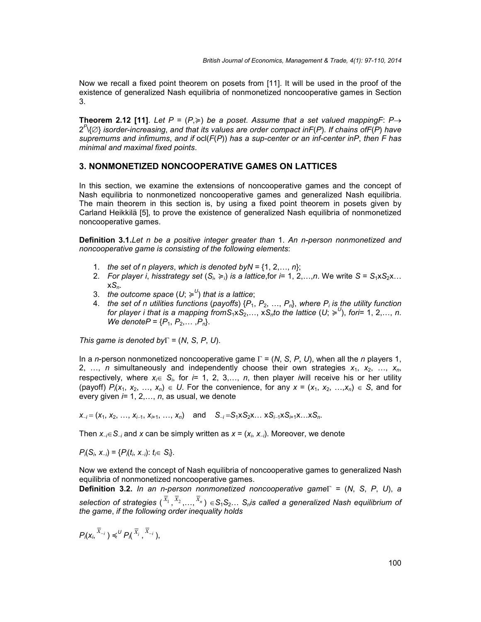Now we recall a fixed point theorem on posets from [11]. It will be used in the proof of the existence of generalized Nash equilibria of nonmonetized noncooperative games in Section 3.

**Theorem 2.12 [11].** Let  $P = (P, \geq)$  be a poset. Assume that a set valued mappingF:  $P \rightarrow$ 2 *P* \{} *isorder*-*increasing*, *and that its values are order compact inF*(*P*). *If chains ofF*(*P*) *have supremums and infimums*, *and if* ocl(*F*(*P*)) *has a sup-center or an inf-center inP*, *then F has minimal and maximal fixed points*.

## **3. NONMONETIZED NONCOOPERATIVE GAMES ON LATTICES**

In this section, we examine the extensions of noncooperative games and the concept of Nash equilibria to nonmonetized noncooperative games and generalized Nash equilibria. The main theorem in this section is, by using a fixed point theorem in posets given by Carland Heikkilä [5], to prove the existence of generalized Nash equilibria of nonmonetized noncooperative games.

**Definition 3.1.***Let n be a positive integer greater than* 1. *An n-person nonmonetized and noncooperative game is consisting of the following elements*:

- 1. *the set of n players, which is denoted byN* =  $\{1, 2, \ldots, n\}$ ;
- 2. *For player i, hisstrategy set*  $(S_i \geq i)$  *is a lattice,for i*= 1, 2,…,*n*. We write  $S = S_1 \times S_2 \times ...$ x*Sn*.
- 3. the outcome space  $(U;\succcurlyeq ^{U})$  that is a lattice;
- 4. *the set of n utilities functions (payoffs)*  $\{P_1, P_2, ..., P_n\}$ , where  $P_i$  *is the utility function for player i that is a mapping fromS*<sub>1</sub>x*S*<sub>2</sub>,…, x*S*<sub>n</sub> $t$ o the lattice (U;  $\geqslant^{\cup}$ ), fori= 1, 2,…, n. *We denoteP* =  $\{P_1, P_2, \ldots, P_n\}$ .

*This game is denoted by*  $\Gamma = (N, S, P, U)$ .

In a *n*-person nonmonetized noncooperative game  $\Gamma = (N, S, P, U)$ , when all the *n* players 1, 2, …, *n* simultaneously and independently choose their own strategies  $x_1, x_2, ..., x_n$ respectively, where  $x_i \in S_i$ , for  $i = 1, 2, 3,..., n$ , then player *i*will receive his or her utility (payoff)  $P_i(x_1, x_2, ..., x_n) \in U$ . For the convenience, for any  $x = (x_1, x_2, ..., x_n) \in S$ , and for every given *i*= 1, 2,…, *n*, as usual, we denote

 $x_{-i} = (x_1, x_2, \ldots, x_{i-1}, x_{i+1}, \ldots, x_n)$  and  $S_{-i} = S_1 \times S_2 \times \ldots \times S_{i-1} \times S_{i+1} \times \ldots \times S_n$ .

Then  $x_{i} \in S_{i}$  and x can be simply written as  $x = (x_{i}, x_{i})$ . Moreover, we denote

*P*<sub>*i*</sub>(*S*<sub>*i*</sub>, *x*<sub>*i*</sub>) = {*P*<sub>*i*</sub>(*t*<sub>*i*</sub>, *x*<sub>*i*</sub>): *t*<sub>*i*</sub> $\in$  *S*<sub>*i*</sub>}.

Now we extend the concept of Nash equilibria of noncooperative games to generalized Nash equilibria of nonmonetized noncooperative games.

**Definition 3.2.** In an n-person nonmonetized noncooperative game $\Gamma = (N, S, P, U)$ , a  $s$ election of strategies  $(\,\overline{x}_1\,,\overline{x}_2\,,\ldots,\overline{x}_n\,) \in S_1S_2\ldots \, S_n$ is called a generalized Nash equilibrium of *the game*, *if the following order inequality holds*

$$
P_{i}(X_{i}, \overline{X}_{-i}) \preccurlyeq^{U} P_{i}(X, \overline{X}_{i}, \overline{X}_{-i}),
$$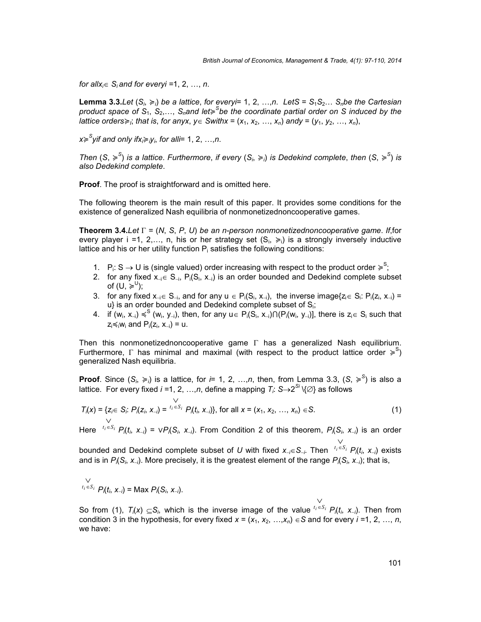*for allx<sub>i</sub>* $\in$  *S<sub>i</sub> and for everyi* =1, 2, …, *n*.

**Lemma 3.3.***Let*  $(S_i \geq i)$  *be a lattice, for everyi*= 1, 2, …,*n*. *LetS* =  $S_1S_2...$  *S<sub>n</sub>be the Cartesian product space of S*1, *S*2,…, *Snand let*≽ *<sup>S</sup>be the coordinate partial order on S induced by the lattice orders* $\geq$ *i*; *that is, for anyx,*  $y \in$  *Swithx* = ( $x_1, x_2, ..., x_n$ ) *andy* = ( $y_1, y_2, ..., x_n$ ),

*x*≽ *<sup>S</sup>yif and only ifxi*≽*iyi*, *for alli*= 1, 2, …,*n*.

*Then*  $(S, \geqslant^S)$  *is a lattice. Furthermore, if every*  $(S_i, \geqslant_i)$  *is Dedekind complete, then*  $(S, \geqslant^S)$  *is also Dedekind complete*.

**Proof**. The proof is straightforward and is omitted here.

The following theorem is the main result of this paper. It provides some conditions for the existence of generalized Nash equilibria of nonmonetizednoncooperative games.

**Theorem 3.4.***Let*  $\Gamma = (N, S, P, U)$  *be an n-person nonmonetizednoncooperative game. If,for* every player i =1, 2,..., n, his or her strategy set  $(S_i, \geq i)$  is a strongly inversely inductive lattice and his or her utility function  $P_i$  satisfies the following conditions:

- 1.  $P_i: S \rightarrow U$  is (single valued) order increasing with respect to the product order  $\geqslant^S$ ;
- 2. for any fixed  $x_i \in S_{-i}$ ,  $P_i(S_i, x_i)$  is an order bounded and Dedekind complete subset of  $(U, \geqslant^U)$ ;
- 3. for any fixed  $x_{-i} \in S_{-i}$ , and for any  $u \in P_i(S_i, x_{-i})$ , the inverse image $\{z_i \in S_i: P_i(z_i, x_{-i}) =$  $u$ } is an order bounded and Dedekind complete subset of  $S_i$ ;
- 4. if (w<sub>i</sub>, x<sub>⊣</sub>) ≼<sup>S</sup> (w<sub>i</sub>, y<sub>⊣</sub>), then, for any u∈ P<sub>i</sub>(S<sub>i</sub>, x<sub>⊣</sub>)∩(P<sub>i</sub>(w<sub>i</sub>, y<sub>⊣</sub>)], there is z<sub>i</sub>∈ S<sub>i</sub> such that  $z_i \preccurlyeq_i w_i$  and  $P_i(z_i, x_{-i}) = u$ .

Then this nonmonetizednoncooperative game  $\Gamma$  has a generalized Nash equilibrium. Furthermore,  $\Gamma$  has minimal and maximal (with respect to the product lattice order  $\geqslant^{\mathcal{S}}$ ) generalized Nash equilibria.

**Proof**. Since  $(S_i, \geq i)$  is a lattice, for *i*= 1, 2, …,*n*, then, from Lemma 3.3,  $(S, \geq^S)$  is also a lattice. For every fixed *i* =1, 2, …,*n*, define a mapping  $\mathcal{T}_i$ : S $\rightarrow$ 2<sup>Si</sup> \{∅} as follows

$$
T_i(x) = \{z_i \in S_i: P_i(z_i, x_{-i}) = \bigcup_{i_1 \in S_i}^{i_2} P_i(t_i, x_{-i})\}, \text{ for all } x = (x_1, x_2, ..., x_n) \in S.
$$
 (1)

Here  ${}^{t_i \in S_i} P_i(t_i, x_{-i}) = \vee P_i(S_i, x_{-i})$ *Pi*(*ti*, *xi*) = ∨*Pi*(*Si*, *xi*). From Condition 2 of this theorem, *Pi*(*Si*, *xi*) is an order  $\vee$ 

bounded and Dedekind complete subset of *U* with fixed  $x_{-i} \in S_{-i}$ . Then  $f_i \in S_i$   $P_i(t_i, x_{-i})$  exists *Pi*(*ti*, *xi*) exists and is in  $P_i(S_i, x_i)$ . More precisely, it is the greatest element of the range  $P_i(S_i, x_i)$ ; that is,

$$
\bigvee_{t_i \in S_i} P_i(t_i, x_{-i}) = \text{Max } P_i(S_i, x_{-i}).
$$

So from (1),  $T_i(x) \subseteq S_i$ , which is the inverse image of the value  ${}^{t_i \in S_i}P_i(t_i, x_{-i})$ . Then from  $\vee$ condition 3 in the hypothesis, for every fixed  $x = (x_1, x_2, ..., x_n) \in S$  and for every  $i = 1, 2, ..., n$ , we have: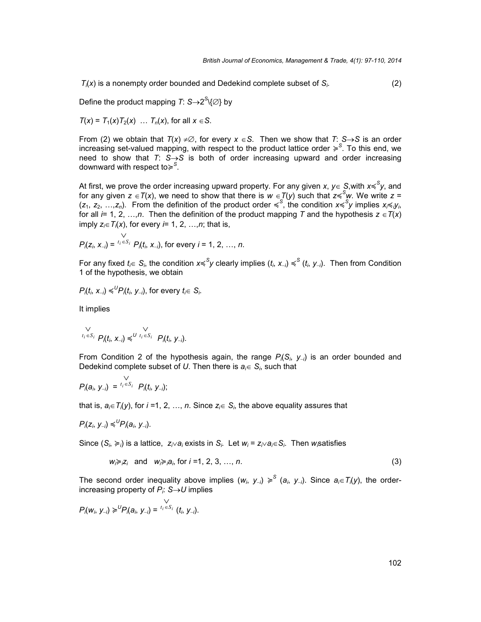*Ti*(*x*) is a nonempty order bounded and Dedekind complete subset of *Si*. (2)

Define the product mapping  $T: S{\rightarrow}2^S\backslash\{\varnothing\}$  by

$$
T(x) = T_1(x)T_2(x) \ldots T_n(x)
$$
, for all  $x \in S$ .

From (2) we obtain that  $T(x) \neq \emptyset$ , for every  $x \in S$ . Then we show that  $T: S \rightarrow S$  is an order increasing set-valued mapping, with respect to the product lattice order ≽ *S* . To this end, we need to show that  $T: S \rightarrow S$  is both of order increasing upward and order increasing downward with respect to≽ *S* .

At first, we prove the order increasing upward property. For any given *x*, *y*∈ S,with *x*≼<sup>S</sup>*y*, and for any given  $z \in T(x)$ , we need to show that there is  $w \in T(y)$  such that  $z {\preccurlyeq}^{\mathcal{S}} w.$  We write  $z =$  $(z_1, z_2, ..., z_n)$ . From the definition of the product order  $\leqslant^S$ , the condition  $x \leqslant^S y$  implies  $x_i \leqslant_i y_i$ for all  $i= 1, 2, ..., n$ . Then the definition of the product mapping T and the hypothesis  $z \in T(x)$ imply  $z_i \in T_i(x)$ , for every *i*= 1, 2, …, *n*; that is,

$$
P_{j}(z_{i}, x_{-i}) = \sum_{i_{i} \in S_{i}}^{V} P_{j}(t_{i}, x_{-i}), \text{ for every } i = 1, 2, ..., n.
$$

For any fixed  $t_i \in S_i$ , the condition  $x \preccurlyeq^S y$  clearly implies  $(t_i, x_{-i}) \preccurlyeq^S (t_i, y_{-i})$ . Then from Condition 1 of the hypothesis, we obtain

$$
P_i(t_i, x_{-i}) \leqslant^U P_i(t_i, y_{-i}), \text{ for every } t_i \in S_i.
$$

It implies

$$
\bigvee_{t_i \in S_i} \bigvee_{P_i(t_i, \ X_{-i}) \preccurlyeq^U} \bigvee_{t_i \in S_i} \bigvee_{P_i(t_i, \ Y_{-i})} \bigvee_{f_i \in S_i} \bigvee_{f_i \in S_i} \bigvee_{f_i \in S_i} \bigvee_{f_i \in S_i} \bigvee_{f_i \in S_i} \bigvee_{f_i \in S_i} \bigvee_{f_i \in S_i} \bigvee_{f_i \in S_i} \bigvee_{f_i \in S_i} \bigvee_{f_i \in S_i} \bigvee_{f_i \in S_i} \bigvee_{f_i \in S_i} \bigvee_{f_i \in S_i} \bigvee_{f_i \in S_i} \bigvee_{f_i \in S_i} \bigvee_{f_i \in S_i} \bigvee_{f_i \in S_i} \bigvee_{f_i \in S_i} \bigvee_{f_i \in S_i} \bigvee_{f_i \in S_i} \bigvee_{f_i \in S_i} \bigvee_{f_i \in S_i} \bigvee_{f_i \in S_i} \bigvee_{f_i \in S_i} \bigvee_{f_i \in S_i} \bigvee_{f_i \in S_i} \bigvee_{f_i \in S_i} \bigvee_{f_i \in S_i} \bigvee_{f_i \in S_i} \bigvee_{f_i \in S_i} \bigvee_{f_i \in S_i} \bigvee_{f_i \in S_i} \bigvee_{f_i \in S_i} \bigvee_{f_i \in S_i} \bigvee_{f_i \in S_i} \bigvee_{f_i \in S_i} \bigvee_{f_i \in S_i} \bigvee_{f_i \in S_i} \bigvee_{f_i \in S_i} \bigvee_{f_i \in S_i} \bigvee_{f_i \in S_i} \bigvee_{f_i \in S_i} \bigvee_{f_i \in S_i} \bigvee_{f_i \in S_i} \bigvee_{f_i \in S_i} \bigvee_{f_i \in S_i} \bigvee_{f_i \in S_i} \bigvee_{f_i \in S_i} \bigvee_{f_i \in S_i} \bigvee_{f_i \in S_i} \bigvee_{f_i \in S_i} \bigvee_{f_i \in S_i} \bigvee_{f_i \in S_i} \bigvee_{f_i \in S_i} \bigvee_{f_i \in S_i} \bigvee_{f_i \in S_i} \bigvee_{f_i \in S_i} \bigvee_{f_i \in S
$$

From Condition 2 of the hypothesis again, the range *Pi*(*Si*, *yi*) is an order bounded and Dedekind complete subset of U. Then there is  $a_i \in S_i$ , such that

$$
P_{i}(a_i, y_{-i}) = \bigvee_{i_i \in S_i} P_{i}(t_i, y_{-i});
$$

that is,  $a_i \in T_i(y)$ , for *i* =1, 2, …, *n*. Since  $z_i \in S_i$ , the above equality assures that

$$
P_i(z_i, y_{-i}) \leqslant^U P_i(a_i, y_{-i}).
$$

Since  $(S_i, \geq i)$  is a lattice,  $z_i \vee a_i$  exists in  $S_i$ . Let  $w_i = z_i \vee a_i \in S_i$ . Then *w*<sub>i</sub>satisfies

$$
w_i \geq z_i \quad \text{and} \quad w_i \geq a_i \text{ for } i = 1, 2, 3, \ldots, n. \tag{3}
$$

The second order inequality above implies  $(w_i, y_{-i}) \geqslant^S (a_i, y_{-i})$ . Since  $a_i \in T_i(y)$ , the orderincreasing property of  $P_i$ :  $S \rightarrow U$  implies

$$
P_{i}(w_{i}, y_{-i}) \geqslant^{U} P_{i}(a_{i}, y_{-i}) = \bigcup_{i_{i} \in S_{i}}^{V} (t_{i}, y_{-i}).
$$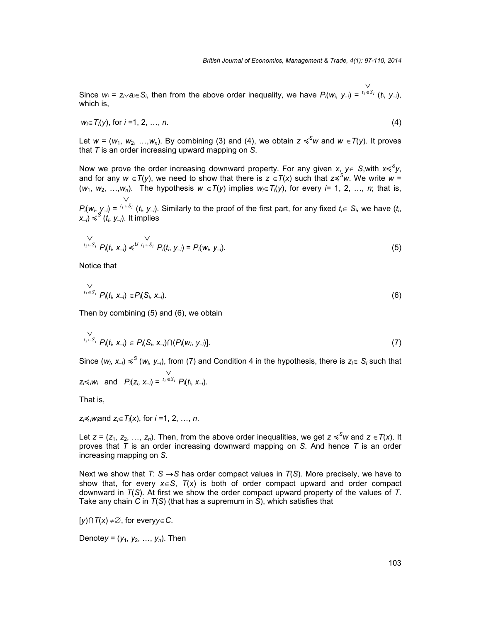Since  $w_i = z_i \vee a_i \in S_i$ , then from the above order inequality, we have  $P_i(w_i, y_{-i}) = {}^{t_i \in S_i} (t_i, y_{-i})$ ,  $\vee$ which is,

$$
w_i \in T_i(y), \text{ for } i = 1, 2, ..., n. \tag{4}
$$

Let  $w = (w_1, w_2, ..., w_n)$ . By combining (3) and (4), we obtain  $z \le w$  and  $w \in T(y)$ . It proves that *T* is an order increasing upward mapping on *S*.

Now we prove the order increasing downward property. For any given *x*, *y*∈ S,with *x*≼<sup>S</sup>*y*, and for any  $w \in T(y)$ , we need to show that there is  $z \in T(x)$  such that  $z {\leq}^{\mathcal{S}} w$ . We write  $w =$  $(w_1, w_2, ..., w_n)$ . The hypothesis  $w \in T(y)$  implies  $w_i \in T(y)$ , for every *i*= 1, 2, …, *n*; that is,  $\vee$ 

 $P_i(w_i, y_{-i}) = \binom{t_i \in S_i}{t_i, y_{-i}}$ . Similarly to *i*  $(t_i, y_{-i})$ . Similarly to the proof of the first part, for any fixed  $t_i \in S_i$ , we have  $(t_i,$ *xi*) ≼ *S* (*ti*, *yi*). It implies

$$
\bigvee_{t_i \in S_i} P_i(t_i, x_{-i}) \leq U t_i \in S_i P_i(t_i, y_{-i}) = P_i(w_i, y_{-i}).
$$
\n(5)

Notice that

$$
\bigvee_{t_i \in S_i} P_i(t_i, x_{-i}) \in P_i(S_i, x_{-i}).
$$
\n(6)

Then by combining (5) and (6), we obtain

$$
\bigvee_{t_i \in S_i} P_i(t_i, x_{-i}) \in P_i(S_i, x_{-i}) \cap (P_i(w_i, y_{-i})]. \tag{7}
$$

Since  $(w_i, x_{-i}) \leqslant^S (w_i, y_{-i})$ , from (7) and Condition 4 in the hypothesis, there is  $z_i \in S_i$  such that  $z_i \le iw_i$  and  $P_i(z_i, x_{-i}) = \frac{t_i \in S_i}{e_i} P_i(t_i, x_{-i}).$  $\vee$ 

That is,

$$
z_i \preccurlyeq_i w_i
$$
 and  $z_i \in T_i(x)$ , for  $i = 1, 2, ..., n$ .

Let  $z = (z_1, z_2, ..., z_n)$ . Then, from the above order inequalities, we get  $z \leqslant^S w$  and  $z \in T(x)$ . It proves that *T* is an order increasing downward mapping on *S*. And hence *T* is an order increasing mapping on *S*.

Next we show that  $T: S \rightarrow S$  has order compact values in  $T(S)$ . More precisely, we have to show that, for every  $x \in S$ ,  $T(x)$  is both of order compact upward and order compact downward in *T*(*S*). At first we show the order compact upward property of the values of *T*. Take any chain *C* in *T*(*S*) (that has a supremum in *S*), which satisfies that

 $[y] \cap T(x) \neq \emptyset$ , for every  $y \in C$ .

Denotey =  $(y_1, y_2, ..., y_n)$ . Then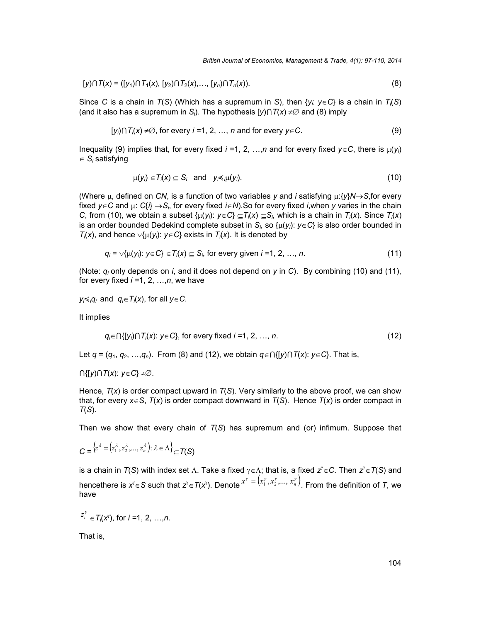$$
[y] \cap T(x) = ([y1) \cap T1(x), [y2) \cap T2(x), ..., [yn) \cap Tn(x)).
$$
\n(8)

Since *C* is a chain in *T*(*S*) (Which has a supremum in *S*), then {*yi*: *yC*} is a chain in *Ti*(*S*) (and it also has a supremum in *S<sub>i</sub>*). The hypothesis  $[y] \cap T(x) \neq \emptyset$  and (8) imply

$$
[y_i] \cap T_i(x) \neq \emptyset, \text{ for every } i = 1, 2, ..., n \text{ and for every } y \in C.
$$
 (9)

Inequality (9) implies that, for every fixed  $i = 1, 2, ..., n$  and for every fixed  $y \in C$ , there is  $\mu(y_i)$  $\in S_i$  satisfying

$$
\mu(y_i) \in T_i(x) \subseteq S_i \quad \text{and} \quad y_i \preccurlyeq_i \mu(y_i).
$$
\n
$$
(10)
$$

(Where  $\mu$ , defined on *CN*, is a function of two variables y and *i* satisfying  $\mu$ : $\{\gamma\}\mathcal{N}\rightarrow S$ , for every fixed  $y \in C$  and  $\mu$ :  $C\{i\} \rightarrow S_i$ , for every fixed  $i \in N$ ). So for every fixed *i*, when *y* varies in the chain *C*, from (10), we obtain a subset  $\{\mu(y_i): y \in C\} \subseteq T_i(x) \subseteq S_i$ , which is a chain in  $T_i(x)$ . Since  $T_i(x)$ is an order bounded Dedekind complete subset in  $S_i$ , so  $\{\mu(y_i): y \in C\}$  is also order bounded in *T*<sub>*i*</sub>(*x*), and hence  $\vee$ {*µ*(*y<sub>i</sub>*): *y*∈*C*} exists in *T<sub><i>i*</sub>(*x*). It is denoted by

$$
q_i = \sqrt{\mu(y_i)} \colon y \in C \} \in T_i(x) \subseteq S_i \text{ for every given } i = 1, 2, ..., n. \tag{11}
$$

(Note:  $q_i$  only depends on *i*, and it does not depend on *y* in *C*). By combining (10) and (11), for every fixed *i =*1, 2, …,*n*, we have

*y*<sup>*i*</sup> $\leq$ *ig*<sub>*i*</sub></sub> and *q*<sup>*i*</sup> $\in$ *T*<sub>*i*</sub> $(X)$ , for all *y* $\in$ *C*.

It implies

$$
q_i \in \bigcap \{ [y_i] \cap T_i(x) : y \in C \}, \text{ for every fixed } i = 1, 2, ..., n. \tag{12}
$$

Let  $q = (q_1, q_2, ..., q_n)$ . From (8) and (12), we obtain  $q \in \bigcap \{ [y] \cap T(x) : y \in C \}$ . That is,

 $\bigcap \{ [y] \cap T(x) : y \in C \} \neq \emptyset$ .

Hence, *T*(*x*) is order compact upward in *T*(*S*). Very similarly to the above proof, we can show that, for every  $x \in S$ ,  $T(x)$  is order compact downward in  $T(S)$ . Hence  $T(x)$  is order compact in *T*(*S*).

Then we show that every chain of *T*(*S*) has supremum and (or) infimum. Suppose that

$$
C = \{z^{\lambda} = (z_1^{\lambda}, z_2^{\lambda}, ..., z_n^{\lambda}) : \lambda \in \Lambda\}_{\subseteq T(S)}
$$

is a chain in  $T(S)$  with index set  $\Lambda$ . Take a fixed  $\gamma{\in}\Lambda$ ; that is, a fixed  $\mathsf{z}^\gamma{\in}\mathsf{C}.$  Then  $\mathsf{z}^\gamma{\in}\mathsf{T}(S)$  and hencethere is  $x^{\gamma}$ ∈S such that  $z^{\gamma}$ ∈T(x<sup>y</sup>). Denote  $x^{\gamma}$  =  $(x_1^{\gamma},x_2^{\gamma},...,x_n^{\gamma})$ . From the definition of *T*, we have

$$
z_i^{\gamma} \in T_i(x^{\gamma}), \text{ for } i = 1, 2, ..., n.
$$

That is,

 $\overline{\mathscr{U}}$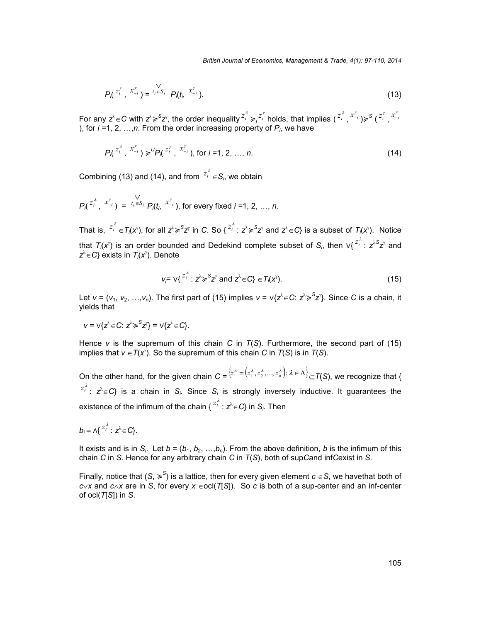$$
P_{\lambda}(z_i^{\gamma}, x_{-i}^{\gamma}) = t_i \in S_i \quad P_{\lambda}(t_i, x_{-i}^{\gamma}).
$$
\n(13)

For any  $z^{\lambda} \in C$  with  $z^{\lambda} \geqslant^S z^{\gamma}$ , the order inequality  $z^{\lambda} _i \geqslant_i z^{\gamma} _i$  holds, that implies  $(z^{\lambda} _i,x^{\nu} _{-i}) \geqslant^S (z^{\gamma} _i,x^{\nu} _{-i})$ ), for *i =*1, 2, …,*n*. From the order increasing property of *Pi*, we have

$$
P_{\Lambda}^{z_i^{\lambda}}, x_{-i}^{r} \ge P_{\Lambda}^{z_i^{r}}, x_{-i}^{r}, \text{ for } i = 1, 2, ..., n.
$$
 (14)

Combining (13) and (14), and from  $z_i^2 \in S_i$ , we obtain

$$
P\left(\begin{array}{cc} z_i^{\lambda}, & x_{-i}^{\nu} \end{array}\right) = \begin{array}{cc} V & V \\ t_i \in S_i & P\left(t_i, & x_{-i}^{\nu}\right), \text{ for every fixed } i = 1, 2, ..., n. \end{array}
$$

That is,  $z_i^{\lambda} \in T_i(x^{\gamma})$ , for all  $z^{\lambda} \geqslant^S z^{\gamma}$  in C. So  $\{z_i^{\lambda}: z^{\lambda} \geqslant^S z^{\gamma}$  and  $z^{\lambda} \in C\}$  is a subset of  $T_i(x^{\gamma})$ . Notice that  $T_i(x^{\gamma})$  is an order bounded and Dedekind complete subset of  $S_i$ , then  $\vee\{^{\mathcal{Z}^{\hat{\lambda}}_i}:\,z^{\lambda S}z^{\gamma}\}$  and  $z^\lambda {\in} C$ } exists in  $\mathcal{T}_i$ (*x* $^\gamma$ ). Denote

$$
v_i = \sqrt{\frac{z_i^{\lambda}}{2}} : z^{\lambda} \ge \frac{Sz^{\gamma}}{2} \text{ and } z^{\lambda} \in C\} \in T_i(x^{\gamma}).
$$
\n(15)

Let *v* = (*v*<sub>1</sub>, *v*<sub>2</sub>, …,*v*<sub>n</sub>). The first part of (15) implies *v* = ∨{ $z^{\lambda}$ ∈C:  $z^{\lambda} \geqslant Sz^{\gamma}$ }. Since *C* is a chain, it yields that

$$
v = \vee \{ z^{\lambda} \in C : z^{\lambda} \geq S^{\lambda} \} = \vee \{ z^{\lambda} \in C \}.
$$

Hence *v* is the supremum of this chain *C* in *T*(*S*). Furthermore, the second part of (15) implies that  $v \in T(x^{\gamma})$ . So the supremum of this chain *C* in  $T(S)$  is in  $T(S)$ .

On the other hand, for the given chain  $C = \{z^{\lambda} = (z_1^{\lambda}, z_2^{\lambda}, ..., z_n^{\lambda}) \colon \lambda \in \Lambda \}_{\subseteq}$   $\mathcal{T}(S)$ , we recognize that {  $z_i^{\lambda}: z^{\lambda} \in C$ } is a chain in *S<sub>i</sub>*. Since *S<sub>i</sub>* is strongly inversely inductive. It guarantees the existence of the infimum of the chain {  $^{Z_i^{\lambda}}$  :  $\boldsymbol{z}^{\lambda}$   $\in$  C} in  $\boldsymbol{S_i}$ . Then

$$
b_i = \Lambda \{ \begin{matrix} z_i^{\lambda} : z^{\lambda} \in C \} . \end{matrix}
$$

It exists and is in  $S_i$ . Let  $b = (b_1, b_2, ..., b_n)$ . From the above definition, *b* is the infimum of this chain *C* in *S*. Hence for any arbitrary chain *C* in *T*(*S*), both of sup*C*and inf*C*exist in *S*.

Finally, notice that (*S*,  $\geq$ <sup>*S*</sup>) is a lattice, then for every given element  $c \in$ *S*, we havethat both of  $c \vee x$  and  $c \wedge x$  are in *S*, for every  $x \in \text{ccl}(\mathcal{T}[S])$ . So *c* is both of a sup-center and an inf-center of ocl(*T*[*S*]) in *S*.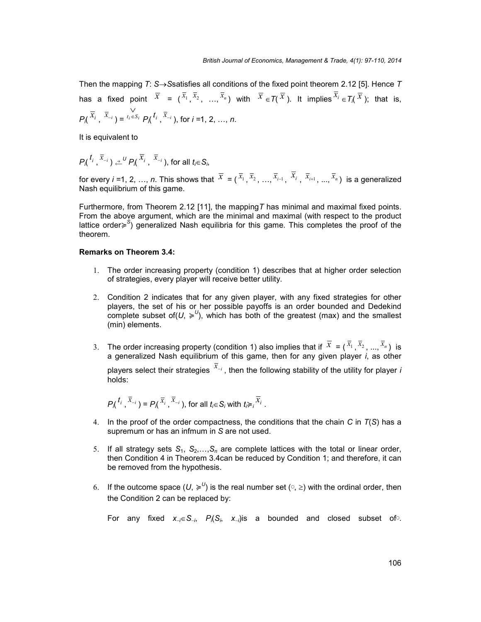Then the mapping *T*: *SS*satisfies all conditions of the fixed point theorem 2.12 [5]. Hence *T* has a fixed point  $\bar{x} = (\bar{x}_1, \bar{x}_2, ..., \bar{x}_n)$  with  $\bar{x} \in \mathcal{T}(\bar{x})$ . It implies  $\bar{x}_i \in \mathcal{T}_i(\bar{x})$ ; that is,  $P\left(\frac{\overline{x}}{i}, \frac{\overline{x}}{i}\right) = \frac{i}{i} \in S_i$   $P\left(\frac{t_i}{i}, \frac{\overline{x}}{i}\right)$ , for  $i = 1, 2$ *<sup>P</sup>i*( *<sup>i</sup> <sup>t</sup>* , *<sup>i</sup> <sup>x</sup>* ), for *i =*1, 2, …, *n*.

It is equivalent to

$$
P_{\Lambda}{}^{t_i}, \overline{x}_{-i} \supseteq \stackrel{\jmath}{\leftarrow}{}^U P_{\Lambda}{}^{\overline{x}_i}, \overline{x}_{-i} \text{), for all } t_i \in S_i,
$$

for every *i* =1, 2, …, *n*. This shows that  $\overline{X}=(\overline{x}_1,\overline{x}_2,...,\overline{x}_{i-1},\overline{x}_i,\overline{x}_{i+1},...,\overline{x}_n)$  is a generalized Nash equilibrium of this game.

Furthermore, from Theorem 2.12 [11], the mapping*T* has minimal and maximal fixed points. From the above argument, which are the minimal and maximal (with respect to the product lattice order≽ *S* ) generalized Nash equilibria for this game*.* This completes the proof of the theorem.

#### **Remarks on Theorem 3.4:**

- 1. The order increasing property (condition 1) describes that at higher order selection of strategies, every player will receive better utility.
- 2. Condition 2 indicates that for any given player, with any fixed strategies for other players, the set of his or her possible payoffs is an order bounded and Dedekind complete subset of( $U$ ,  $\geq$ <sup>U</sup>), which has both of the greatest (max) and the smallest (min) elements.
- 3. The order increasing property (condition 1) also implies that if  $\bar{x} = (\bar{x}_1, \bar{x}_2, ..., \bar{x}_n)$  is a generalized Nash equilibrium of this game, then for any given player *i*, as other players select their strategies  $^{\overline{x}_{-i}}$  , then the following stability of the utility for player *i* holds:

$$
P_{\lambda}^{t_i}, \overline{x}_{-i}) = P_{\lambda}^{t_i}, \overline{x}_{-i}, \text{ for all } t_i \in S_i \text{ with } t_i \geq i \overline{x}_i.
$$

- 4. In the proof of the order compactness, the conditions that the chain *C* in *T*(*S*) has a supremum or has an infmum in *S* are not used.
- 5. If all strategy sets  $S_1$ ,  $S_2$ ,..., $S_n$  are complete lattices with the total or linear order, then Condition 4 in Theorem 3.4can be reduced by Condition 1; and therefore, it can be removed from the hypothesis.
- 6. If the outcome space  $(U, \geq^U)$  is the real number set ( $\circ$ ,  $\geq$ ) with the ordinal order, then the Condition 2 can be replaced by:

For any fixed  $x_{i} \in S_{i}$ ,  $P_{i}(S_{i}, x_{i})$  is a bounded and closed subset of.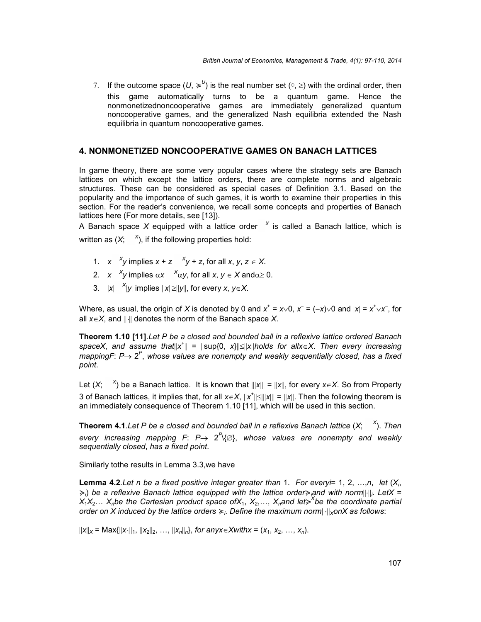7. If the outcome space  $(U, \geq^U)$  is the real number set ( $\circ$ ,  $\geq$ ) with the ordinal order, then this game automatically turns to be a quantum game. Hence the nonmonetizednoncooperative games are immediately generalized quantum noncooperative games, and the generalized Nash equilibria extended the Nash equilibria in quantum noncooperative games.

## **4. NONMONETIZED NONCOOPERATIVE GAMES ON BANACH LATTICES**

In game theory, there are some very popular cases where the strategy sets are Banach lattices on which except the lattice orders, there are complete norms and algebraic structures. These can be considered as special cases of Definition 3.1. Based on the popularity and the importance of such games, it is worth to examine their properties in this section. For the reader's convenience, we recall some concepts and properties of Banach lattices here (For more details, see [13]).

A Banach space *X* equipped with a lattice order *<sup>X</sup>* is called a Banach lattice, which is written as  $(X; X)$ , if the following properties hold:

- 1.  $x \times y$  implies  $x + z \times y + z$ , for all  $x, y, z \in X$ .
- 2. *x* <sup>*X*</sup><sub>y</sub> implies  $\alpha x$  <sup>*X*</sup> $\alpha y$ , for all *x*,  $y \in X$  and  $\alpha \ge 0$ .
- 3.  $|x| \quad x|y|$  implies  $||x|| \ge ||y||$ , for every *x*, *y*∈*X*.

Where, as usual, the origin of *X* is denoted by 0 and  $x^+ = x \vee 0$ ,  $x^- = (-x) \vee 0$  and  $|x| = x^+ \vee x^-$ , for all  $x \in X$ , and  $|| \cdot ||$  denotes the norm of the Banach space X.

**Theorem 1.10 [11]**.*Let P be a closed and bounded ball in a reflexive lattice ordered Banach* spaceX, and assume that||x<sup>+</sup>|| = ||sup{0, x}||≤||x||holds for allx∈X. Then every increasing *mappingF*: *P* 2 *P* , *whose values are nonempty and weakly sequentially closed*, *has a fixed point*.

Let  $(X;$   $X$ <sup>2</sup>) be a Banach lattice. It is known that  $|||X||| = ||X||$ , for every  $x \in X$ . So from Property 3 of Banach lattices, it implies that, for all  $x \in X$ ,  $||x^*|| \leq |||x||| = ||x||$ . Then the following theorem is an immediately consequence of Theorem 1.10 [11], which will be used in this section.

**Theorem 4.1**.*Let P be a closed and bounded ball in a reflexive Banach lattice* (*X*; *<sup>X</sup>* ). *Then every increasing mapping F*: *P* 2 *P* \{}, *whose values are nonempty and weakly sequentially closed*, *has a fixed point*.

Similarly tothe results in Lemma 3.3,we have

**Lemma 4.2**.*Let n be a fixed positive integer greater than* 1. *For everyi*= 1, 2, …,*n*, *let* (*Xi*, ≽*i*) *be a reflexive Banach lattice equipped with the lattice order*≽*iand with norm <sup>i</sup>*. *LetX* = *X*1*X*2… *Xnbe the Cartesian product space ofX*1, *X*2,…, *Xnand let*≽ *<sup>X</sup>be the coordinate partial order on X induced by the lattice orders* ≽*i*. *Define the maximum normXonX as follows*:

 $||x||_X = \text{Max} {||x_1||_1, ||x_2||_2, ..., ||x_n||_0}$ , for anyx $\in$ Xwithx = (x<sub>1</sub>, x<sub>2</sub>, …, x<sub>n</sub>).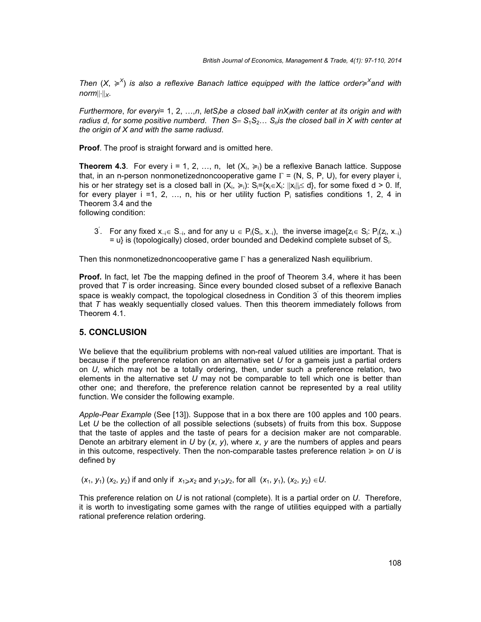*Then* (*X*, ≽ *X* ) *is also a reflexive Banach lattice equipped with the lattice order*≽ *<sup>X</sup>and with*  $norm||.||_X$ .

*Furthermore*, *for everyi*= 1, 2, …,*n*, *letSibe a closed ball inXiwith center at its origin and with radius d*, *for some positive numberd*. *Then SS*1*S*2… *Snis the closed ball in X with center at the origin of X and with the same radiusd*.

**Proof**. The proof is straight forward and is omitted here.

**Theorem 4.3**. For every i = 1, 2, ..., n, let  $(X_i, \geq i)$  be a reflexive Banach lattice. Suppose that, in an n-person nonmonetizednoncooperative game  $\Gamma = (N, S, P, U)$ , for every player i, his or her strategy set is a closed ball in  $(X_i, \geq i): S_i = \{x_i \in X_i: ||x_i||_i \leq d\}$ , for some fixed d > 0. If, for every player  $i = 1, 2, ..., n$ , his or her utility fuction  $P_i$  satisfies conditions 1, 2, 4 in Theorem 3.4 and the following condition:

3. For any fixed  $x_{-i} \in S_{-i}$ , and for any  $u \in P_i(S_i, x_{-i})$ , the inverse image{ $z_i \in S_i$ :  $P_i(z_i, x_{-i})$  $=$  u} is (topologically) closed, order bounded and Dedekind complete subset of  $S_i$ .

Then this nonmonetizednoncooperative game  $\Gamma$  has a generalized Nash equilibrium.

**Proof.** In fact, let *T*be the mapping defined in the proof of Theorem 3.4, where it has been proved that *T* is order increasing. Since every bounded closed subset of a reflexive Banach space is weakly compact, the topological closedness in Condition  $3'$  of this theorem implies that *T* has weakly sequentially closed values. Then this theorem immediately follows from Theorem 4.1.

## **5. CONCLUSION**

We believe that the equilibrium problems with non-real valued utilities are important. That is because if the preference relation on an alternative set *U* for a gameis just a partial orders on *U*, which may not be a totally ordering, then, under such a preference relation, two elements in the alternative set *U* may not be comparable to tell which one is better than other one; and therefore, the preference relation cannot be represented by a real utility function. We consider the following example.

*Apple-Pear Example* (See [13]). Suppose that in a box there are 100 apples and 100 pears. Let *U* be the collection of all possible selections (subsets) of fruits from this box. Suppose that the taste of apples and the taste of pears for a decision maker are not comparable. Denote an arbitrary element in *U* by (*x*, *y*), where *x*, *y* are the numbers of apples and pears in this outcome, respectively. Then the non-comparable tastes preference relation  $\geq 0$  on U is defined by

 $(x_1, y_1)$   $(x_2, y_2)$  if and only if  $x_1 \ge x_2$  and  $y_1 \ge y_2$ , for all  $(x_1, y_1)$ ,  $(x_2, y_2) \in U$ .

This preference relation on *U* is not rational (complete). It is a partial order on *U*. Therefore, it is worth to investigating some games with the range of utilities equipped with a partially rational preference relation ordering.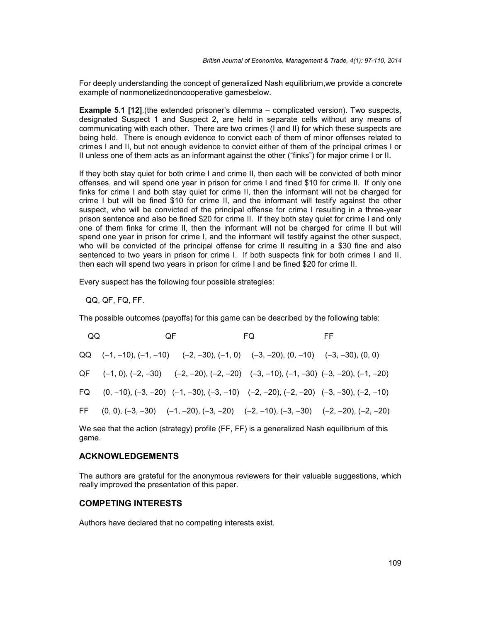For deeply understanding the concept of generalized Nash equilibrium,we provide a concrete example of nonmonetizednoncooperative gamesbelow.

**Example 5.1 [12]**.(the extended prisoner's dilemma – complicated version). Two suspects, designated Suspect 1 and Suspect 2, are held in separate cells without any means of communicating with each other. There are two crimes (I and II) for which these suspects are being held. There is enough evidence to convict each of them of minor offenses related to crimes I and II, but not enough evidence to convict either of them of the principal crimes I or II unless one of them acts as an informant against the other ("finks") for major crime I or II.

If they both stay quiet for both crime I and crime II, then each will be convicted of both minor offenses, and will spend one year in prison for crime I and fined \$10 for crime II. If only one finks for crime I and both stay quiet for crime II, then the informant will not be charged for crime I but will be fined \$10 for crime II, and the informant will testify against the other suspect, who will be convicted of the principal offense for crime I resulting in a three-year prison sentence and also be fined \$20 for crime II. If they both stay quiet for crime I and only one of them finks for crime II, then the informant will not be charged for crime II but will spend one year in prison for crime I, and the informant will testify against the other suspect, who will be convicted of the principal offense for crime II resulting in a \$30 fine and also sentenced to two years in prison for crime I. If both suspects fink for both crimes I and II, then each will spend two years in prison for crime I and be fined \$20 for crime II.

Every suspect has the following four possible strategies:

QQ, QF, FQ, FF.

The possible outcomes (payoffs) for this game can be described by the following table:

| QQ | 0F | FQ                                                                                                      | FF. |
|----|----|---------------------------------------------------------------------------------------------------------|-----|
|    |    | QQ $(-1, -10)$ , $(-1, -10)$ $(-2, -30)$ , $(-1, 0)$ $(-3, -20)$ , $(0, -10)$ $(-3, -30)$ , $(0, 0)$    |     |
|    |    | $QF$ $(-1, 0), (-2, -30)$ $(-2, -20), (-2, -20)$ $(-3, -10), (-1, -30)$ $(-3, -20), (-1, -20)$          |     |
|    |    | FQ $(0, -10), (-3, -20)$ $(-1, -30), (-3, -10)$ $(-2, -20), (-2, -20)$ $(-3, -30), (-2, -10)$           |     |
|    |    | FF $(0, 0)$ , $(-3, -30)$ $(-1, -20)$ , $(-3, -20)$ $(-2, -10)$ , $(-3, -30)$ $(-2, -20)$ , $(-2, -20)$ |     |
|    |    |                                                                                                         |     |

We see that the action (strategy) profile (FF, FF) is a generalized Nash equilibrium of this game.

#### **ACKNOWLEDGEMENTS**

The authors are grateful for the anonymous reviewers for their valuable suggestions, which really improved the presentation of this paper.

#### **COMPETING INTERESTS**

Authors have declared that no competing interests exist.